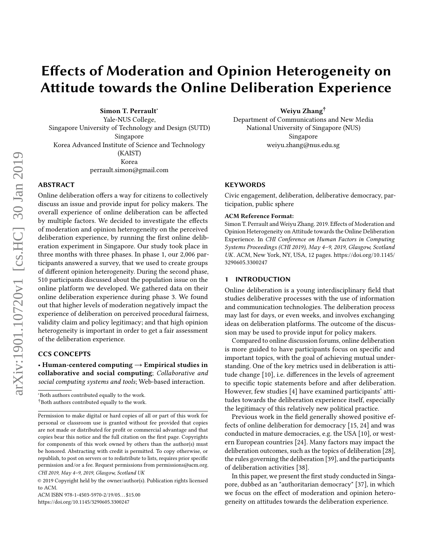# Effects of Moderation and Opinion Heterogeneity on Attitude towards the Online Deliberation Experience

Simon T. Perrault<sup>∗</sup>

Yale-NUS College, Singapore University of Technology and Design (SUTD) Singapore Korea Advanced Institute of Science and Technology (KAIST) Korea perrault.simon@gmail.com

# ABSTRACT

Online deliberation offers a way for citizens to collectively discuss an issue and provide input for policy makers. The overall experience of online deliberation can be affected by multiple factors. We decided to investigate the effects of moderation and opinion heterogeneity on the perceived deliberation experience, by running the first online deliberation experiment in Singapore. Our study took place in three months with three phases. In phase 1, our 2,006 participants answered a survey, that we used to create groups of different opinion heterogeneity. During the second phase, 510 participants discussed about the population issue on the online platform we developed. We gathered data on their online deliberation experience during phase 3. We found out that higher levels of moderation negatively impact the experience of deliberation on perceived procedural fairness, validity claim and policy legitimacy; and that high opinion heterogeneity is important in order to get a fair assessment of the deliberation experience.

# CCS CONCEPTS

• Human-centered computing  $\rightarrow$  Empirical studies in collaborative and social computing; Collaborative and social computing systems and tools; Web-based interaction.

ACM ISBN 978-1-4503-5970-2/19/05. . . \$15.00 <https://doi.org/10.1145/3290605.3300247>

Weiyu Zhang†

Department of Communications and New Media National University of Singapore (NUS) Singapore weiyu.zhang@nus.edu.sg

# **KEYWORDS**

Civic engagement, deliberation, deliberative democracy, participation, public sphere

#### ACM Reference Format:

Simon T. Perrault and Weiyu Zhang. 2019. Effects of Moderation and Opinion Heterogeneity on Attitude towards the Online Deliberation Experience. In CHI Conference on Human Factors in Computing Systems Proceedings (CHI 2019), May 4–9, 2019, Glasgow, Scotland UK. ACM, New York, NY, USA, [12](#page-11-0) pages. [https://doi.org/10.1145/](https://doi.org/10.1145/3290605.3300247) [3290605.3300247](https://doi.org/10.1145/3290605.3300247)

## 1 INTRODUCTION

Online deliberation is a young interdisciplinary field that studies deliberative processes with the use of information and communication technologies. The deliberation process may last for days, or even weeks, and involves exchanging ideas on deliberation platforms. The outcome of the discussion may be used to provide input for policy makers.

Compared to online discussion forums, online deliberation is more guided to have participants focus on specific and important topics, with the goal of achieving mutual understanding. One of the key metrics used in deliberation is attitude change [\[10\]](#page-10-0), i.e. differences in the levels of agreement to specific topic statements before and after deliberation. However, few studies [\[4\]](#page-10-1) have examined participants' attitudes towards the deliberation experience itself, especially the legitimacy of this relatively new political practice.

Previous work in the field generally showed positive effects of online deliberation for democracy [\[15,](#page-10-2) [24\]](#page-10-3) and was conducted in mature democracies, e.g. the USA [\[10\]](#page-10-0), or western European countries [\[24\]](#page-10-3). Many factors may impact the deliberation outcomes, such as the topics of deliberation [\[28\]](#page-11-1), the rules governing the deliberation [\[39\]](#page-11-2), and the participants of deliberation activities [\[38\]](#page-11-3).

In this paper, we present the first study conducted in Singapore, dubbed as an "authoritarian democracy" [\[37\]](#page-11-4), in which we focus on the effect of moderation and opinion heterogeneity on attitudes towards the deliberation experience.

<sup>∗</sup>Both authors contributed equally to the work. †Both authors contributed equally to the work.

Permission to make digital or hard copies of all or part of this work for personal or classroom use is granted without fee provided that copies are not made or distributed for profit or commercial advantage and that copies bear this notice and the full citation on the first page. Copyrights for components of this work owned by others than the author(s) must be honored. Abstracting with credit is permitted. To copy otherwise, or republish, to post on servers or to redistribute to lists, requires prior specific permission and/or a fee. Request permissions from permissions@acm.org. CHI 2019, May 4–9, 2019, Glasgow, Scotland UK

<sup>©</sup> 2019 Copyright held by the owner/author(s). Publication rights licensed to ACM.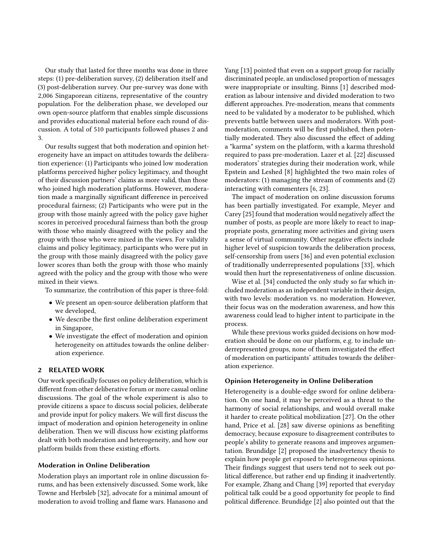Our study that lasted for three months was done in three steps: (1) pre-deliberation survey, (2) deliberation itself and (3) post-deliberation survey. Our pre-survey was done with 2,006 Singaporean citizens, representative of the country population. For the deliberation phase, we developed our own open-source platform that enables simple discussions and provides educational material before each round of discussion. A total of 510 participants followed phases 2 and 3.

Our results suggest that both moderation and opinion heterogeneity have an impact on attitudes towards the deliberation experience: (1) Participants who joined low moderation platforms perceived higher policy legitimacy, and thought of their discussion partners' claims as more valid, than those who joined high moderation platforms. However, moderation made a marginally significant difference in perceived procedural fairness; (2) Participants who were put in the group with those mainly agreed with the policy gave higher scores in perceived procedural fairness than both the group with those who mainly disagreed with the policy and the group with those who were mixed in the views. For validity claims and policy legitimacy, participants who were put in the group with those mainly disagreed with the policy gave lower scores than both the group with those who mainly agreed with the policy and the group with those who were mixed in their views.

To summarize, the contribution of this paper is three-fold:

- We present an open-source deliberation platform that we developed,
- We describe the first online deliberation experiment in Singapore,
- We investigate the effect of moderation and opinion heterogeneity on attitudes towards the online deliberation experience.

# 2 RELATED WORK

Our work specifically focuses on policy deliberation, which is different from other deliberative forum or more casual online discussions. The goal of the whole experiment is also to provide citizens a space to discuss social policies, deliberate and provide input for policy makers. We will first discuss the impact of moderation and opinion heterogeneity in online deliberation. Then we will discuss how existing platforms dealt with both moderation and heterogeneity, and how our platform builds from these existing efforts.

# Moderation in Online Deliberation

Moderation plays an important role in online discussion forums, and has been extensively discussed. Some work, like Towne and Herbsleb [\[32\]](#page-11-5), advocate for a minimal amount of moderation to avoid trolling and flame wars. Hanasono and

Yang [\[13\]](#page-10-4) pointed that even on a support group for racially discriminated people, an undisclosed proportion of messages were inappropriate or insulting. Binns [\[1\]](#page-10-5) described moderation as labour intensive and divided moderation to two different approaches. Pre-moderation, means that comments need to be validated by a moderator to be published, which prevents battle between users and moderators. With postmoderation, comments will be first published, then potentially moderated. They also discussed the effect of adding a "karma" system on the platform, with a karma threshold required to pass pre-moderation. Lazer et al. [\[22\]](#page-10-6) discussed moderators' strategies during their moderation work, while Epstein and Leshed [\[8\]](#page-10-7) highlighted the two main roles of moderators: (1) managing the stream of comments and (2) interacting with commenters [\[6,](#page-10-8) [23\]](#page-10-9).

The impact of moderation on online discussion forums has been partially investigated. For example, Meyer and Carey [\[25\]](#page-10-10) found that moderation would negatively affect the number of posts, as people are more likely to react to inappropriate posts, generating more activities and giving users a sense of virtual community. Other negative effects include higher level of suspicion towards the deliberation process, self-censorship from users [\[36\]](#page-11-6) and even potential exclusion of traditionally underrepresented populations [\[33\]](#page-11-7), which would then hurt the representativeness of online discussion.

Wise et al. [\[34\]](#page-11-8) conducted the only study so far which included moderation as an independent variable in their design, with two levels: moderation vs. no moderation. However, their focus was on the moderation awareness, and how this awareness could lead to higher intent to participate in the process.

While these previous works guided decisions on how moderation should be done on our platform, e.g. to include underrepresented groups, none of them investigated the effect of moderation on participants' attitudes towards the deliberation experience.

## Opinion Heterogeneity in Online Deliberation

Heterogeneity is a double-edge sword for online deliberation. On one hand, it may be perceived as a threat to the harmony of social relationships, and would overall make it harder to create political mobilization [\[27\]](#page-10-11). On the other hand, Price et al. [\[28\]](#page-11-1) saw diverse opinions as benefiting democracy, because exposure to disagreement contributes to people's ability to generate reasons and improves argumentation. Brundidge [\[2\]](#page-10-12) proposed the inadvertency thesis to explain how people get exposed to heterogeneous opinions. Their findings suggest that users tend not to seek out political difference, but rather end up finding it inadvertently. For example, Zhang and Chang [\[39\]](#page-11-2) reported that everyday political talk could be a good opportunity for people to find political difference. Brundidge [\[2\]](#page-10-12) also pointed out that the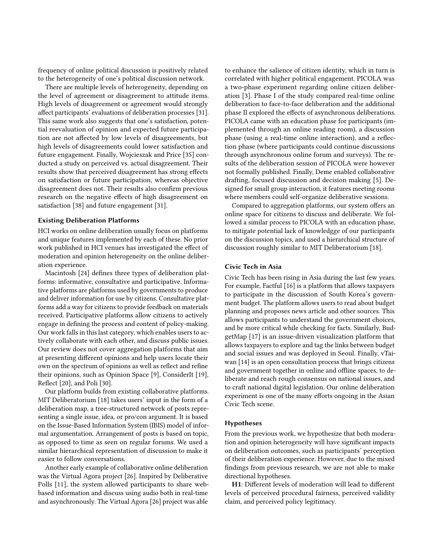frequency of online political discussion is positively related to the heterogeneity of one's political discussion network.

There are multiple levels of heterogeneity, depending on the level of agreement or disagreement to attitude items. High levels of disagreement or agreement would strongly affect participants' evaluations of deliberation processes [\[31\]](#page-11-9). This same work also suggests that one's satisfaction, potential reevaluation of opinion and expected future participation are not affected by low levels of disagreements, but high levels of disagreements could lower satisfaction and future engagement. Finally, Wojcieszak and Price [\[35\]](#page-11-10) conducted a study on perceived vs. actual disagreement. Their results show that perceived disagreement has strong effects on satisfaction or future participation, whereas objective disagreement does not. Their results also confirm previous research on the negative effects of high disagreement on satisfaction [\[38\]](#page-11-3) and future engagement [\[31\]](#page-11-9).

# Existing Deliberation Platforms

HCI works on online deliberation usually focus on platforms and unique features implemented by each of these. No prior work published in HCI venues has investigated the effect of moderation and opinion heterogeneity on the online deliberation experience.

Macintosh [\[24\]](#page-10-3) defines three types of deliberation platforms: informative, consultative and participative. Informative platforms are platforms used by governments to produce and deliver information for use by citizens. Consultative platforms add a way for citizens to provide feedback on materials received. Participative platforms allow citizens to actively engage in defining the process and content of policy-making. Our work falls in this last category, which enables users to actively collaborate with each other, and discuss public issues. Our review does not cover aggregation platforms that aim at presenting different opinions and help users locate their own on the spectrum of opinions as well as reflect and refine their opinions, such as Opinion Space [\[9\]](#page-10-13), ConsiderIt [\[19\]](#page-10-14), Reflect [\[20\]](#page-10-15), and Poli [\[30\]](#page-11-11).

Our platform builds from existing collaborative platforms. MIT Deliberatorium [\[18\]](#page-10-16) takes users' input in the form of a deliberation map, a tree-structured network of posts representing a single issue, idea, or pro/con argument. It is based on the Issue-Based Information System (IBIS) model of informal argumentation. Arrangement of posts is based on topic, as opposed to time as seen on regular forums. We used a similar hierarchical representation of discussion to make it easier to follow conversations.

Another early example of collaborative online deliberation was the Virtual Agora project [\[26\]](#page-10-17). Inspired by Deliberative Polls [\[11\]](#page-10-18), the system allowed participants to share webbased information and discuss using audio both in real-time and asynchronously. The Virtual Agora [\[26\]](#page-10-17) project was able

to enhance the salience of citizen identity, which in turn is correlated with higher political engagement. PICOLA was a two-phase experiment regarding online citizen deliberation [\[3\]](#page-10-19). Phase I of the study compared real-time online deliberation to face-to-face deliberation and the additional phase II explored the effects of asynchronous deliberations. PICOLA came with an education phase for participants (implemented through an online reading room), a discussion phase (using a real-time online interaction), and a reflection phase (where participants could continue discussions through asynchronous online forum and surveys). The results of the deliberation session of PICOLA were however not formally published. Finally, Deme enabled collaborative drafting, focused discussion and decision making [\[5\]](#page-10-20). Designed for small group interaction, it features meeting rooms where members could self-organize deliberative sessions.

Compared to aggregation platforms, our system offers an online space for citizens to discuss and deliberate. We followed a similar process to PICOLA with an education phase, to mitigate potential lack of knowledgge of our participants on the discussion topics, and used a hierarchical structure of discussion roughly similar to MIT Deliberatorium [\[18\]](#page-10-16).

#### Civic Tech in Asia

Civic Tech has been rising in Asia during the last few years. For example, Factful [\[16\]](#page-10-21) is a platform that allows taxpayers to participate in the discussion of South Korea's government budget. The platform allows users to read about budget planning and proposes news article and other sources. This allows participants to understand the government choices, and be more critical while checking for facts. Similarly, BudgetMap [\[17\]](#page-10-22) is an issue-driven visualization platform that allows taxpayers to explore and tag the links between budget and social issues and was deployed in Seoul. Finally, vTaiwan [\[14\]](#page-10-23) is an open consultation process that brings citizens and government together in online and offline spaces, to deliberate and reach rough consensus on national issues, and to craft national digital legislation. Our online deliberation experiment is one of the many efforts ongoing in the Asian Civic Tech scene.

#### Hypotheses

From the previous work, we hypothesize that both moderation and opinion heterogeneity will have significant impacts on deliberation outcomes, such as participants' perception of their deliberation experience. However, due to the mixed findings from previous research, we are not able to make directional hypotheses.

H1: Different levels of moderation will lead to different levels of perceived procedural fairness, perceived validity claim, and perceived policy legitimacy.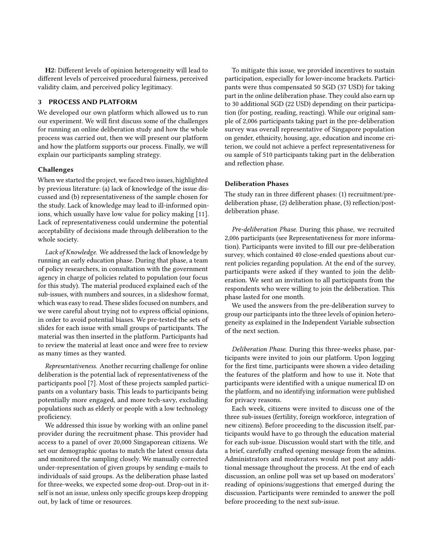H2: Different levels of opinion heterogeneity will lead to different levels of perceived procedural fairness, perceived validity claim, and perceived policy legitimacy.

# 3 PROCESS AND PLATFORM

We developed our own platform which allowed us to run our experiment. We will first discuss some of the challenges for running an online deliberation study and how the whole process was carried out, then we will present our platform and how the platform supports our process. Finally, we will explain our participants sampling strategy.

# Challenges

When we started the project, we faced two issues, highlighted by previous literature: (a) lack of knowledge of the issue discussed and (b) representativeness of the sample chosen for the study. Lack of knowledge may lead to ill-informed opinions, which usually have low value for policy making [\[11\]](#page-10-18). Lack of representativeness could undermine the potential acceptability of decisions made through deliberation to the whole society.

Lack of Knowledge. We addressed the lack of knowledge by running an early education phase. During that phase, a team of policy researchers, in consultation with the government agency in charge of policies related to population (our focus for this study). The material produced explained each of the sub-issues, with numbers and sources, in a slideshow format, which was easy to read. These slides focused on numbers, and we were careful about trying not to express official opinions, in order to avoid potential biases. We pre-tested the sets of slides for each issue with small groups of participants. The material was then inserted in the platform. Participants had to review the material at least once and were free to review as many times as they wanted.

Representativeness. Another recurring challenge for online deliberation is the potential lack of representativeness of the participants pool [\[7\]](#page-10-24). Most of these projects sampled participants on a voluntary basis. This leads to participants being potentially more engaged, and more tech-savy, excluding populations such as elderly or people with a low technology proficiency.

We addressed this issue by working with an online panel provider during the recruitment phase. This provider had access to a panel of over 20,000 Singaporean citizens. We set our demographic quotas to match the latest census data and monitored the sampling closely. We manually corrected under-representation of given groups by sending e-mails to individuals of said groups. As the deliberation phase lasted for three-weeks, we expected some drop-out. Drop-out in itself is not an issue, unless only specific groups keep dropping out, by lack of time or resources.

To mitigate this issue, we provided incentives to sustain participation, especially for lower-income brackets. Participants were thus compensated 50 SGD (37 USD) for taking part in the online deliberation phase. They could also earn up to 30 additional SGD (22 USD) depending on their participation (for posting, reading, reacting). While our original sample of 2,006 participants taking part in the pre-deliberation survey was overall representative of Singapore population on gender, ethnicity, housing, age, education and income criterion, we could not achieve a perfect representativeness for ou sample of 510 participants taking part in the deliberation and reflection phase.

# Deliberation Phases

The study ran in three different phases: (1) recruitment/predeliberation phase, (2) deliberation phase, (3) reflection/postdeliberation phase.

Pre-deliberation Phase. During this phase, we recruited 2,006 participants (see Representativeness for more information). Participants were invited to fill our pre-deliberation survey, which contained 40 close-ended questions about current policies regarding population. At the end of the survey, participants were asked if they wanted to join the deliberation. We sent an invitation to all participants from the respondents who were willing to join the deliberation. This phase lasted for one month.

We used the answers from the pre-deliberation survey to group our participants into the three levels of opinion heterogeneity as explained in the Independent Variable subsection of the next section.

Deliberation Phase. During this three-weeks phase, participants were invited to join our platform. Upon logging for the first time, participants were shown a video detailing the features of the platform and how to use it. Note that participants were identified with a unique numerical ID on the platform, and no identifying information were published for privacy reasons.

Each week, citizens were invited to discuss one of the three sub-issues (fertility, foreign workforce, integration of new citizens). Before proceeding to the discussion itself, participants would have to go through the education material for each sub-issue. Discussion would start with the title, and a brief, carefully crafted opening message from the admins. Administrators and moderators would not post any additional message throughout the process. At the end of each discussion, an online poll was set up based on moderators' reading of opinions/suggestions that emerged during the discussion. Participants were reminded to answer the poll before proceeding to the next sub-issue.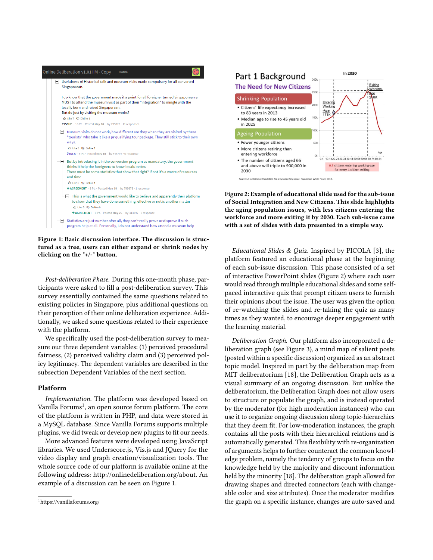<span id="page-4-1"></span>

Figure 1: Basic discussion interface. The discussion is structured as a tree, users can either expand or shrink nodes by clicking on the "+/-" button.

Post-deliberation Phase. During this one-month phase, participants were asked to fill a post-deliberation survey. This survey essentially contained the same questions related to existing policies in Singapore, plus additional questions on their perception of their online deliberation experience. Additionally, we asked some questions related to their experience with the platform.

We specifically used the post-deliberation survey to measure our three dependent variables: (1) perceived procedural fairness, (2) perceived validity claim and (3) perceived policy legitimacy. The dependent variables are described in the subsection Dependent Variables of the next section.

# Platform

Implementation. The platform was developed based on Vanilla Forums<sup>[1](#page-4-0)</sup>, an open source forum platform. The core of the platform is written in PHP, and data were stored in a MySQL database. Since Vanilla Forums supports multiple plugins, we did tweak or develop new plugins to fit our needs.

More advanced features were developed using JavaScript libraries. We used Underscore.js, Vis.js and JQuery for the video display and graph creation/visualization tools. The whole source code of our platform is available online at the following address: [http://onlinedeliberation.org/about.](http://onlinedeliberation.org/about) An example of a discussion can be seen on Figure [1.](#page-4-1)

<span id="page-4-0"></span>

<span id="page-4-2"></span>

Figure 2: Example of educational slide used for the sub-issue of Social Integration and New Citizens. This slide highlights the aging population issues, with less citizens entering the workforce and more exiting it by 2030. Each sub-issue came with a set of slides with data presented in a simple way.

Educational Slides & Quiz. Inspired by PICOLA [\[3\]](#page-10-19), the platform featured an educational phase at the beginning of each sub-issue discussion. This phase consisted of a set of interactive PowerPoint slides (Figure [2\)](#page-4-2) where each user would read through multiple educational slides and some selfpaced interactive quiz that prompt citizen users to furnish their opinions about the issue. The user was given the option of re-watching the slides and re-taking the quiz as many times as they wanted, to encourage deeper engagement with the learning material.

Deliberation Graph. Our platform also incorporated a deliberation graph (see Figure [3\)](#page-5-0), a mind map of salient posts (posted within a specific discussion) organized as an abstract topic model. Inspired in part by the deliberation map from MIT deliberatorium [\[18\]](#page-10-16), the Deliberation Graph acts as a visual summary of an ongoing discussion. But unlike the deliberatorium, the Deliberation Graph does not allow users to structure or populate the graph, and is instead operated by the moderator (for high moderation instances) who can use it to organize ongoing discussion along topic-hierarchies that they deem fit. For low-moderation instances, the graph contains all the posts with their hierarchical relations and is automatically generated. This flexibility with re-organization of arguments helps to further counteract the common knowledge problem, namely the tendency of groups to focus on the knowledge held by the majority and discount information held by the minority [\[18\]](#page-10-16). The deliberation graph allowed for drawing shapes and directed connectors (each with changeable color and size attributes). Once the moderator modifies the graph on a specific instance, changes are auto-saved and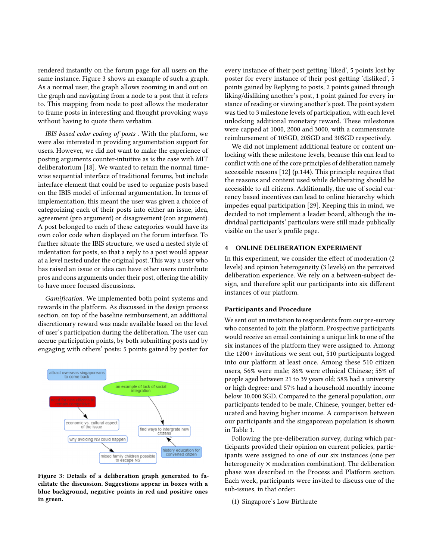rendered instantly on the forum page for all users on the same instance. Figure [3](#page-5-0) shows an example of such a graph. As a normal user, the graph allows zooming in and out on the graph and navigating from a node to a post that it refers to. This mapping from node to post allows the moderator to frame posts in interesting and thought provoking ways without having to quote them verbatim.

IBIS based color coding of posts . With the platform, we were also interested in providing argumentation support for users. However, we did not want to make the experience of posting arguments counter-intuitive as is the case with MIT deliberatorium [\[18\]](#page-10-16). We wanted to retain the normal timewise sequential interface of traditional forums, but include interface element that could be used to organize posts based on the IBIS model of informal argumentation. In terms of implementation, this meant the user was given a choice of categorizing each of their posts into either an issue, idea, agreement (pro argument) or disagreement (con argument). A post belonged to each of these categories would have its own color code when displayed on the forum interface. To further situate the IBIS structure, we used a nested style of indentation for posts, so that a reply to a post would appear at a level nested under the original post. This way a user who has raised an issue or idea can have other users contribute pros and cons arguments under their post, offering the ability to have more focused discussions.

Gamification. We implemented both point systems and rewards in the platform. As discussed in the design process section, on top of the baseline reimbursement, an additional discretionary reward was made available based on the level of user's participation during the deliberation. The user can accrue participation points, by both submitting posts and by engaging with others' posts: 5 points gained by poster for

<span id="page-5-0"></span>

Figure 3: Details of a deliberation graph generated to facilitate the discussion. Suggestions appear in boxes with a blue background, negative points in red and positive ones in green.

every instance of their post getting 'liked', 5 points lost by poster for every instance of their post getting 'disliked', 5 points gained by Replying to posts, 2 points gained through liking/disliking another's post, 1 point gained for every instance of reading or viewing another's post. The point system was tied to 3 milestone levels of participation, with each level unlocking additional monetary reward. These milestones were capped at 1000, 2000 and 3000, with a commensurate reimbursement of 10SGD, 20SGD and 30SGD respectively.

We did not implement additional feature or content unlocking with these milestone levels, because this can lead to conflict with one of the core principles of deliberation namely accessible reasons [\[12\]](#page-10-25) (p.144). This principle requires that the reasons and content used while deliberating should be accessible to all citizens. Additionally, the use of social currency based incentives can lead to online hierarchy which impedes equal participation [\[29\]](#page-11-12). Keeping this in mind, we decided to not implement a leader board, although the individual participants' particulars were still made publically visible on the user's profile page.

# 4 ONLINE DELIBERATION EXPERIMENT

In this experiment, we consider the effect of moderation (2 levels) and opinion heterogeneity (3 levels) on the perceived deliberation experience. We rely on a between-subject design, and therefore split our participants into six different instances of our platform.

#### Participants and Procedure

We sent out an invitation to respondents from our pre-survey who consented to join the platform. Prospective participants would receive an email containing a unique link to one of the six instances of the platform they were assigned to. Among the 1200+ invitations we sent out, 510 participants logged into our platform at least once. Among these 510 citizen users, 56% were male; 86% were ethnical Chinese; 55% of people aged between 21 to 39 years old; 58% had a university or high degree: and 57% had a household monthly income below 10,000 SGD. Compared to the general population, our participants tended to be male, Chinese, younger, better educated and having higher income. A comparison between our participants and the singaporean population is shown in Table [1.](#page-6-0)

Following the pre-deliberation survey, during which participants provided their opinion on current policies, participants were assigned to one of our six instances (one per heterogeneity  $\times$  moderation combination). The deliberation phase was described in the Process and Platform section. Each week, participants were invited to discuss one of the sub-issues, in that order:

(1) Singapore's Low Birthrate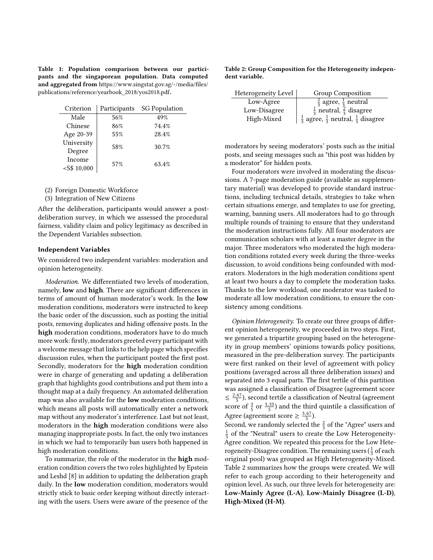<span id="page-6-0"></span>Table 1: Population comparison between our participants and the singaporean population. Data computed and aggregated from [https://www.singstat.gov.sg/-/media/files/](https://www.singstat.gov.sg/-/media/files/publications/reference/yearbook_2018/yos2018.pdf) [publications/reference/yearbook\\_2018/yos2018.pdf](https://www.singstat.gov.sg/-/media/files/publications/reference/yearbook_2018/yos2018.pdf).

| Criterion      | Participants | <b>SG Population</b> |  |
|----------------|--------------|----------------------|--|
| Male           | 56%          | 49%                  |  |
| Chinese        | 86%          | 74.4%                |  |
| Age 20-39      | 55%          | 28.4%                |  |
| University     | 58%          | 30.7%                |  |
| Degree         |              |                      |  |
| Income         |              | 63.4%                |  |
| $<$ S\$ 10,000 | 57%          |                      |  |

- (2) Foreign Domestic Workforce
- (3) Integration of New Citizens

After the deliberation, participants would answer a postdeliberation survey, in which we assessed the procedural fairness, validity claim and policy legitimacy as described in the Dependent Variables subsection.

#### Independent Variables

We considered two independent variables: moderation and opinion heterogeneity.

Moderation. We differentiated two levels of moderation, namely, low and high. There are significant differences in terms of amount of human moderator's work. In the low moderation conditions, moderators were instructed to keep the basic order of the discussion, such as posting the initial posts, removing duplicates and hiding offensive posts. In the high moderation conditions, moderators have to do much more work: firstly, moderators greeted every participant with a welcome message that links to the help page which specifies discussion rules, when the participant posted the first post. Secondly, moderators for the high moderation condition were in charge of generating and updating a deliberation graph that highlights good contributions and put them into a thought map at a daily frequency. An automated deliberation map was also available for the low moderation conditions, which means all posts will automatically enter a network map without any moderator's interference. Last but not least, moderators in the high moderation conditions were also managing inappropriate posts. In fact, the only two instances in which we had to temporarily ban users both happened in high moderation conditions.

To summarize, the role of the moderator in the high moderation condition covers the two roles highlighted by Epstein and Leshd [\[8\]](#page-10-7) in addition to updating the deliberation graph daily. In the low moderation condition, moderators would strictly stick to basic order keeping without directly interacting with the users. Users were aware of the presence of the

<span id="page-6-1"></span>Table 2: Group Composition for the Heterogeneity independent variable.

| Heterogeneity Level | <b>Group Composition</b>                                           |
|---------------------|--------------------------------------------------------------------|
| Low-Agree           | $rac{2}{3}$ agree, $rac{1}{3}$ neutral                             |
| Low-Disagree        | $\frac{1}{3}$ neutral, $\frac{2}{3}$ disagree                      |
| High-Mixed          | $\frac{1}{3}$ agree, $\frac{1}{3}$ neutral, $\frac{1}{3}$ disagree |

moderators by seeing moderators' posts such as the initial posts, and seeing messages such as "this post was hidden by a moderator" for hidden posts.

Four moderators were involved in moderating the discussions. A 7-page moderation guide (available as supplementary material) was developed to provide standard instructions, including technical details, strategies to take when certain situations emerge, and templates to use for greeting, warning, banning users. All moderators had to go through multiple rounds of training to ensure that they understand the moderation instructions fully. All four moderators are communication scholars with at least a master degree in the major. Three moderators who moderated the high moderation conditions rotated every week during the three-weeks discussion, to avoid conditions being confounded with moderators. Moderators in the high moderation conditions spent at least two hours a day to complete the moderation tasks. Thanks to the low workload, one moderator was tasked to moderate all low moderation conditions, to ensure the consistency among conditions.

Opinion Heterogeneity. To create our three groups of different opinion heterogeneity, we proceeded in two steps. First, we generated a tripartite grouping based on the heterogeneity in group members' opinions towards policy positions, measured in the pre-deliberation survey. The participants were first ranked on their level of agreement with policy positions (averaged across all three deliberation issues) and separated into 3 equal parts. The first tertile of this partition was assigned a classification of Disagree (agreement score  $\leq \frac{2.67}{5}$ ), second tertile a classification of Neutral (agreement score of  $\frac{3}{5}$  or  $\frac{3.33}{5}$ ) and the third quintile a classification of Agree (agreement score  $\geq \frac{3.67}{5}$ ).

Second, we randomly selected the  $\frac{2}{3}$  of the "Agree" users and  $\frac{1}{3}$  of the "Neutral" users to create the Low Heterogeneity-Agree condition. We repeated this process for the Low Heterogeneity-Disagree condition. The remaining users ( $\frac{1}{3}$  of each original pool) was grouped as High Heterogeneity-Mixed. Table [2](#page-6-1) summarizes how the groups were created. We will refer to each group according to their heterogeneity and opinion level. As such, our three levels for heterogeneity are: Low-Mainly Agree (L-A), Low-Mainly Disagree (L-D), High-Mixed (H-M).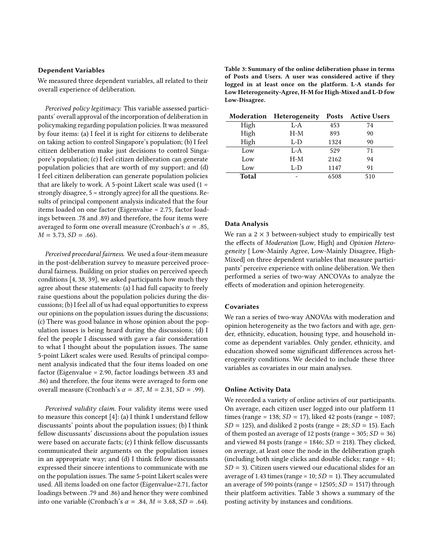# Dependent Variables

We measured three dependent variables, all related to their overall experience of deliberation.

Perceived policy legitimacy. This variable assessed participants' overall approval of the incorporation of deliberation in policymaking regarding population policies. It was measured by four items: (a) I feel it is right for citizens to deliberate on taking action to control Singapore's population; (b) I feel citizen deliberation make just decisions to control Singapore's population; (c) I feel citizen deliberation can generate population policies that are worth of my support; and (d) I feel citizen deliberation can generate population policies that are likely to work. A 5-point Likert scale was used  $(1 =$ strongly disagree, 5 = strongly agree) for all the questions. Results of principal component analysis indicated that the four items loaded on one factor (Eigenvalue = 2.75, factor loadings between .78 and .89) and therefore, the four items were averaged to form one overall measure (Cronbach's  $\alpha = .85$ ,  $M = 3.73, SD = .66$ .

Perceived procedural fairness. We used a four-item measure in the post-deliberation survey to measure perceived procedural fairness. Building on prior studies on perceived speech conditions [\[4,](#page-10-1) [38,](#page-11-3) [39\]](#page-11-2), we asked participants how much they agree about these statements: (a) I had full capacity to freely raise questions about the population policies during the discussions; (b) I feel all of us had equal opportunities to express our opinions on the population issues during the discussions; (c) There was good balance in whose opinion about the population issues is being heard during the discussions; (d) I feel the people I discussed with gave a fair consideration to what I thought about the population issues. The same 5-point Likert scales were used. Results of principal component analysis indicated that the four items loaded on one factor (Eigenvalue = 2.90, factor loadings between .83 and .86) and therefore, the four items were averaged to form one overall measure (Cronbach's  $\alpha = .87$ ,  $M = 2.31$ ,  $SD = .99$ ).

Perceived validity claim. Four validity items were used to measure this concept [\[4\]](#page-10-1): (a) I think I understand fellow discussants' points about the population issues; (b) I think fellow discussants' discussions about the population issues were based on accurate facts; (c) I think fellow discussants communicated their arguments on the population issues in an appropriate way; and (d) I think fellow discussants expressed their sincere intentions to communicate with me on the population issues. The same 5-point Likert scales were used. All items loaded on one factor (Eigenvalue=2.71, factor loadings between .79 and .86) and hence they were combined into one variable (Cronbach's  $\alpha$  = .84,  $M$  = 3.68,  $SD$  = .64).

<span id="page-7-0"></span>Table 3: Summary of the online deliberation phase in terms of Posts and Users. A user was considered active if they logged in at least once on the platform. L-A stands for Low Heterogeneity-Agree, H-M for High-Mixed and L-D fow Low-Disagree.

|              | <b>Moderation Heterogeneity</b> |      | <b>Posts</b> Active Users |
|--------------|---------------------------------|------|---------------------------|
| High         | L-A                             | 453  | 74                        |
| High         | $H-M$                           | 893  | 90                        |
| High         | L-D                             | 1324 | 90                        |
| Low          | $L-A$                           | 529  | 71                        |
| Low          | $H-M$                           | 2162 | 94                        |
| Low          | L-D                             | 1147 | 91                        |
| <b>Total</b> |                                 | 6508 | 510                       |

# Data Analysis

We ran a  $2 \times 3$  between-subject study to empirically test the effects of Moderation {Low, High} and Opinion Heterogeneity { Low-Mainly Agree, Low-Mainly Disagree, High-Mixed} on three dependent variables that measure participants' perceive experience with online deliberation. We then performed a series of two-way ANCOVAs to analyze the effects of moderation and opinion heterogeneity.

# **Covariates**

We ran a series of two-way ANOVAs with moderation and opinion heterogeneity as the two factors and with age, gender, ethnicity, education, housing type, and household income as dependent variables. Only gender, ethnicity, and education showed some significant differences across heterogeneity conditions. We decided to include these three variables as covariates in our main analyses.

## Online Activity Data

We recorded a variety of online activies of our participants. On average, each citizen user logged into our platform 11 times (range = 138;  $SD = 17$ ), liked 42 posts (range = 1087;  $SD = 125$ ), and disliked 2 posts (range = 28;  $SD = 15$ ). Each of them posted an average of 12 posts (range =  $305$ ;  $SD = 36$ ) and viewed 84 posts (range =  $1846$ ;  $SD = 218$ ). They clicked, on average, at least once the node in the deliberation graph (including both single clicks and double clicks; range = 41;  $SD = 3$ ). Citizen users viewed our educational slides for an average of 1.43 times (range =  $10; SD = 1$ ). They accumulated an average of 590 points (range =  $12505$ ;  $SD = 1517$ ) through their platform activities. Table [3](#page-7-0) shows a summary of the posting activity by instances and conditions.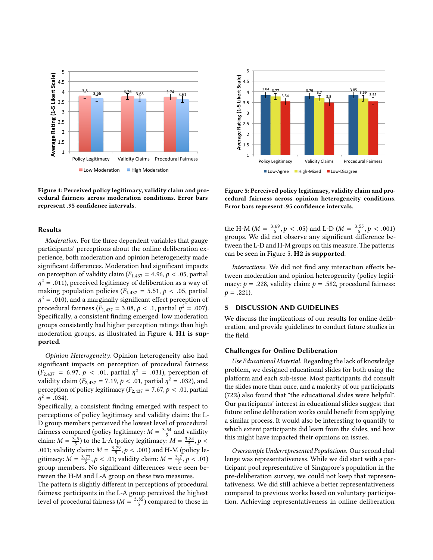<span id="page-8-0"></span>

Figure 4: Perceived policy legitimacy, validity claim and procedural fairness across moderation conditions. Error bars represent .95 confidence intervals.

# Results

Moderation. For the three dependent variables that gauge participants' perceptions about the online deliberation experience, both moderation and opinion heterogeneity made significant differences. Moderation had significant impacts on perception of validity claim ( $F_{1,437} = 4.96$ ,  $p < .05$ , partial  $\eta^2 = .011$ ), perceived legitimacy of deliberation as a way of making population policies (*E*,  $\alpha = 5.51$ ,  $\beta$  < 05 partial making population policies ( $F_{1,437} = 5.51, p < .05$ , partial  $\eta^2 = .010$ ), and a marginally significant effect perception of<br>procedural fairness  $(F_{\text{max}} = 3.08, h \le 1)$  partial  $n^2 = .007$ ) procedural fairness  $(F_{1,437} = 3.08, p < .1,$  partial  $\eta^2 = .007$ ).<br>Specifically, a consistent finding emerged: low moderation Specifically, a consistent finding emerged: low moderation groups consistently had higher perception ratings than high moderation groups, as illustrated in Figure [4.](#page-8-0) H1 is supported.

Opinion Heterogeneity. Opinion heterogeneity also had significant impacts on perception of procedural fairness  $(F_{2,437} = 6.97, p < .01,$  partial  $\eta^2 = .031$ ), perception of validity claim  $(F_{6,427} = 7.19, p < .01$  partial  $n^2 = .032$ ) and validity claim  $(F_{2,437} = 7.19, p < .01,$  partial  $\eta^2 = .032$ ), and<br>perception of policy legitimacy  $(F_{2,437} = 7.67, p < .01$  partial perception of policy legitimacy ( $F_{2,437} = 7.67, p < .01$ , partial  $\eta^2 = .034$ ).<br>Specificall

Specifically, a consistent finding emerged with respect to perceptions of policy legitimacy and validity claim: the L-D group members perceived the lowest level of procedural fairness compared (policy legitimacy:  $M = \frac{3.54}{5}$  and validity claim:  $M = \frac{3.5}{5}$  to the L-A (policy legitimacy:  $M = \frac{3.84}{5}$ ,  $p <$  0.01, voliding loging  $M = \frac{3.79}{5}$ , p < 0.01) and H M (policy la .001; validity claim:  $M = \frac{3.79}{5}$ ,  $p < .001$ ) and H-M (policy legitimean:  $M = \frac{3.77}{5}$ ,  $p < .01$ ) gitimacy:  $M = \frac{3.77}{5}$ ,  $p < .01$ ; validity claim:  $M = \frac{3.7}{5}$ ,  $p < .01$ )<br>group members. No significant differences were seen begroup members. No significant differences were seen between the H-M and L-A group on these two measures.

The pattern is slightly different in perceptions of procedural fairness: participants in the L-A group perceived the highest level of procedural fairness ( $M = \frac{3.85}{5}$ ) compared to those in

<span id="page-8-1"></span>

Figure 5: Perceived policy legitimacy, validity claim and procedural fairness across opinion heterogeneity conditions. Error bars represent .95 confidence intervals.

the H-M ( $M = \frac{3.69}{5}$ ,  $p < .05$ ) and L-D ( $M = \frac{3.55}{5}$ ,  $p < .001$ )<br>groups. We did not observe any significant difference begroups. We did not observe any significant difference between the L-D and H-M groups on this measure. The patterns can be seen in Figure [5.](#page-8-1) H2 is supported.

Interactions. We did not find any interaction effects between moderation and opinion heterogeneity (policy legitimacy:  $p = .228$ , validity claim:  $p = .582$ , procedural fairness:  $p = .221$ ).

# 5 DISCUSSION AND GUIDELINES

We discuss the implications of our results for online deliberation, and provide guidelines to conduct future studies in the field.

# Challenges for Online Deliberation

Use Educational Material. Regarding the lack of knowledge problem, we designed educational slides for both using the platform and each sub-issue. Most participants did consult the slides more than once, and a majority of our participants (72%) also found that "the educational slides were helpful". Our participants' interest in educational slides suggest that future online deliberation works could benefit from applying a similar process. It would also be interesting to quantify to which extent participants did learn from the slides, and how this might have impacted their opinions on issues.

Oversample Underrepresented Populations. Our second challenge was representativeness. While we did start with a participant pool representative of Singapore's population in the pre-deliberation survey, we could not keep that representativeness. We did still achieve a better representativeness compared to previous works based on voluntary participation. Achieving representativeness in online deliberation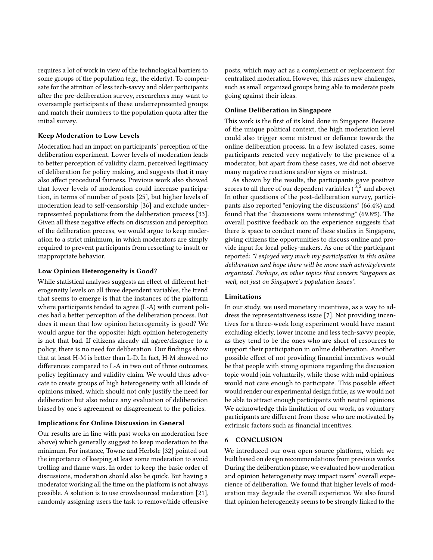requires a lot of work in view of the technological barriers to some groups of the population (e.g., the elderly). To compensate for the attrition of less tech-savvy and older participants after the pre-deliberation survey, researchers may want to oversample participants of these underrepresented groups and match their numbers to the population quota after the initial survey.

# Keep Moderation to Low Levels

Moderation had an impact on participants' perception of the deliberation experiment. Lower levels of moderation leads to better perception of validity claim, perceived legitimacy of deliberation for policy making, and suggests that it may also affect procedural fairness. Previous work also showed that lower levels of moderation could increase participation, in terms of number of posts [\[25\]](#page-10-10), but higher levels of moderation lead to self-censorship [\[36\]](#page-11-6) and exclude underrepresented populations from the deliberation process [\[33\]](#page-11-7). Given all these negative effects on discussion and perception of the deliberation process, we would argue to keep moderation to a strict minimum, in which moderators are simply required to prevent participants from resorting to insult or inappropriate behavior.

## Low Opinion Heterogeneity is Good?

While statistical analyses suggests an effect of different heterogeneity levels on all three dependent variables, the trend that seems to emerge is that the instances of the platform where participants tended to agree (L-A) with current policies had a better perception of the deliberation process. But does it mean that low opinion heterogeneity is good? We would argue for the opposite: high opinion heterogeneity is not that bad. If citizens already all agree/disagree to a policy, there is no need for deliberation. Our findings show that at least H-M is better than L-D. In fact, H-M showed no differences compared to L-A in two out of three outcomes, policy legitimacy and validity claim. We would thus advocate to create groups of high heterogeneity with all kinds of opinions mixed, which should not only justify the need for deliberation but also reduce any evaluation of deliberation biased by one's agreement or disagreement to the policies.

# Implications for Online Discussion in General

Our results are in line with past works on moderation (see above) which generally suggest to keep moderation to the minimum. For instance, Towne and Herbsle [\[32\]](#page-11-5) pointed out the importance of keeping at least some moderation to avoid trolling and flame wars. In order to keep the basic order of discussions, moderation should also be quick. But having a moderator working all the time on the platform is not always possible. A solution is to use crowdsourced moderation [\[21\]](#page-10-26), randomly assigning users the task to remove/hide offensive

posts, which may act as a complement or replacement for centralized moderation. However, this raises new challenges, such as small organized groups being able to moderate posts going against their ideas.

# Online Deliberation in Singapore

This work is the first of its kind done in Singapore. Because of the unique political context, the high moderation level could also trigger some mistrust or defiance towards the online deliberation process. In a few isolated cases, some participants reacted very negatively to the presence of a moderator, but apart from these cases, we did not observe many negative reactions and/or signs or mistrust.

As shown by the results, the participants gave positive scores to all three of our dependent variables ( $\frac{3.5}{5}$  and above). In other questions of the post-deliberation survey, participants also reported "enjoying the discussions" (66.4%) and found that the "discussions were interesting" (69.8%). The overall positive feedback on the experience suggests that there is space to conduct more of these studies in Singapore, giving citizens the opportunities to discuss online and provide input for local policy-makers. As one of the participant reported: "I enjoyed very much my participation in this online deliberation and hope there will be more such activity/events organized. Perhaps, on other topics that concern Singapore as well, not just on Singapore's population issues".

# Limitations

In our study, we used monetary incentives, as a way to address the representativeness issue [\[7\]](#page-10-24). Not providing incentives for a three-week long experiment would have meant excluding elderly, lower income and less tech-savvy people, as they tend to be the ones who are short of resources to support their participation in online deliberation. Another possible effect of not providing financial incentives would be that people with strong opinions regarding the discussion topic would join voluntarily, while those with mild opinions would not care enough to participate. This possible effect would render our experimental design futile, as we would not be able to attract enough participants with neutral opinions. We acknowledge this limitation of our work, as voluntary participants are different from those who are motivated by extrinsic factors such as financial incentives.

# 6 CONCLUSION

We introduced our own open-source platform, which we built based on design recommendations from previous works. During the deliberation phase, we evaluated how moderation and opinion heterogeneity may impact users' overall experience of deliberation. We found that higher levels of moderation may degrade the overall experience. We also found that opinion heterogeneity seems to be strongly linked to the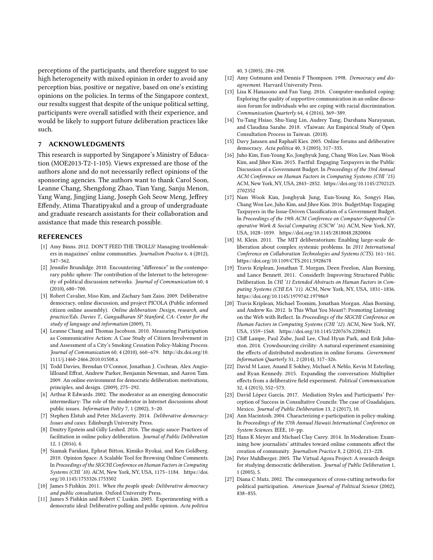perceptions of the participants, and therefore suggest to use high heterogeneity with mixed opinion in order to avoid any perception bias, positive or negative, based on one's existing opinions on the policies. In terms of the Singapore context, our results suggest that despite of the unique political setting, participants were overall satisfied with their experience, and would be likely to support future deliberation practices like such.

# 7 ACKNOWLEDGMENTS

This research is supported by Singapore's Ministry of Education (MOE2013-T2-1-105). Views expressed are those of the authors alone and do not necessarily reflect opinions of the sponsoring agencies. The authors want to thank Carol Soon, Leanne Chang, Shengdong Zhao, Tian Yang, Sanju Menon, Yang Wang, Jingjing Liang, Joseph Goh Seow Meng, Jeffrey Effendy, Atima Tharatipyakul and a group of undergraduate and graduate research assistants for their collaboration and assistance that made this research possible.

## REFERENCES

- <span id="page-10-5"></span>[1] Amy Binns. 2012. DON'T FEED THE TROLLS! Managing troublemakers in magazines' online communities. Journalism Practice 6, 4 (2012), 547–562.
- <span id="page-10-12"></span>[2] Jennifer Brundidge. 2010. Encountering "difference" in the contemporary public sphere: The contribution of the Internet to the heterogeneity of political discussion networks. Journal of Communication 60, 4 (2010), 680–700.
- <span id="page-10-19"></span>[3] Robert Cavalier, Miso Kim, and Zachary Sam Zaiss. 2009. Deliberative democracy, online discussion, and project PICOLA (Public informed citizen online assembly). Online deliberation: Design, research, and practice/Eds. Davies T., Gangadharan SP Stanford, CA: Center for the study of language and information (2009), 71.
- <span id="page-10-1"></span>[4] Leanne Chang and Thomas Jacobson. 2010. Measuring Participation as Communicative Action: A Case Study of Citizen Involvement in and Assessment of a City's Smoking Cessation Policy-Making Process. Journal of Communication 60, 4 (2010), 660–679. [http://dx.doi.org/10.](http://dx.doi.org/10.1111/j.1460-2466.2010.01508.x) [1111/j.1460-2466.2010.01508.x](http://dx.doi.org/10.1111/j.1460-2466.2010.01508.x)
- <span id="page-10-20"></span>[5] Todd Davies, Brendan O'Connor, Jonathan J. Cochran, Alex Angiolilloand Effrat, Andrew Parker, Benjamin Newman, and Aaron Tam. 2009. An online environment for democratic deliberation: motivations, principles, and design. (2009), 275–292.
- <span id="page-10-8"></span>[6] Arthur R Edwards. 2002. The moderator as an emerging democratic intermediary: The role of the moderator in Internet discussions about public issues. Information Polity 7, 1 (2002), 3–20.
- <span id="page-10-24"></span>[7] Stephen Elstub and Peter McLaverty. 2014. Deliberative democracy: Issues and cases. Edinburgh University Press.
- <span id="page-10-7"></span>[8] Dmitry Epstein and Gilly Leshed. 2016. The magic sauce: Practices of facilitation in online policy deliberation. Journal of Public Deliberation 12, 1 (2016), 4.
- <span id="page-10-13"></span>[9] Siamak Faridani, Ephrat Bitton, Kimiko Ryokai, and Ken Goldberg. 2010. Opinion Space: A Scalable Tool for Browsing Online Comments. In Proceedings of the SIGCHI Conference on Human Factors in Computing Systems (CHI '10). ACM, New York, NY, USA, 1175–1184. [https://doi.](https://doi.org/10.1145/1753326.1753502) [org/10.1145/1753326.1753502](https://doi.org/10.1145/1753326.1753502)
- <span id="page-10-0"></span>[10] James S Fishkin. 2011. When the people speak: Deliberative democracy and public consultation. Oxford University Press.
- <span id="page-10-18"></span>[11] James S Fishkin and Robert C Luskin. 2005. Experimenting with a democratic ideal: Deliberative polling and public opinion. Acta politica

40, 3 (2005), 284–298.

- <span id="page-10-25"></span>[12] Amy Gutmann and Dennis F Thompson. 1998. Democracy and disagreement. Harvard University Press.
- <span id="page-10-4"></span>[13] Lisa K Hanasono and Fan Yang. 2016. Computer-mediated coping: Exploring the quality of supportive communication in an online discussion forum for individuals who are coping with racial discrimination. Communication Quarterly 64, 4 (2016), 369–389.
- <span id="page-10-23"></span>[14] Yu-Tang Hsiao, Shu-Yang Lin, Audrey Tang, Darshana Narayanan, and Claudina Sarahe. 2018. vTaiwan: An Empirical Study of Open Consultation Process in Taiwan. (2018).
- <span id="page-10-2"></span>[15] Davy Janssen and Raphaël Kies. 2005. Online forums and deliberative democracy. Acta política 40, 3 (2005), 317–335.
- <span id="page-10-21"></span>[16] Juho Kim, Eun-Young Ko, Jonghyuk Jung, Chang Won Lee, Nam Wook Kim, and Jihee Kim. 2015. Factful: Engaging Taxpayers in the Public Discussion of a Government Budget. In Proceedings of the 33rd Annual ACM Conference on Human Factors in Computing Systems (CHI '15). ACM, New York, NY, USA, 2843–2852. [https://doi.org/10.1145/2702123.](https://doi.org/10.1145/2702123.2702352) [2702352](https://doi.org/10.1145/2702123.2702352)
- <span id="page-10-22"></span>[17] Nam Wook Kim, Jonghyuk Jung, Eun-Young Ko, Songyi Han, Chang Won Lee, Juho Kim, and Jihee Kim. 2016. BudgetMap: Engaging Taxpayers in the Issue-Driven Classification of a Government Budget. In Proceedings of the 19th ACM Conference on Computer-Supported Cooperative Work & Social Computing (CSCW '16). ACM, New York, NY, USA, 1028–1039.<https://doi.org/10.1145/2818048.2820004>
- <span id="page-10-16"></span>[18] M. Klein. 2011. The MIT deliberatorium: Enabling large-scale deliberation about complex systemic problems. In 2011 International Conference on Collaboration Technologies and Systems (CTS). 161–161. <https://doi.org/10.1109/CTS.2011.5928678>
- <span id="page-10-14"></span>[19] Travis Kriplean, Jonathan T. Morgan, Deen Freelon, Alan Borning, and Lance Bennett. 2011. ConsiderIt: Improving Structured Public Deliberation. In CHI '11 Extended Abstracts on Human Factors in Computing Systems (CHI EA '11). ACM, New York, NY, USA, 1831–1836. <https://doi.org/10.1145/1979742.1979869>
- <span id="page-10-15"></span>[20] Travis Kriplean, Michael Toomim, Jonathan Morgan, Alan Borning, and Andrew Ko. 2012. Is This What You Meant?: Promoting Listening on the Web with Reflect. In Proceedings of the SIGCHI Conference on Human Factors in Computing Systems (CHI '12). ACM, New York, NY, USA, 1559–1568.<https://doi.org/10.1145/2207676.2208621>
- <span id="page-10-26"></span>[21] Cliff Lampe, Paul Zube, Jusil Lee, Chul Hyun Park, and Erik Johnston. 2014. Crowdsourcing civility: A natural experiment examining the effects of distributed moderation in online forums. Government Information Quarterly 31, 2 (2014), 317–326.
- <span id="page-10-6"></span>[22] David M Lazer, Anand E Sokhey, Michael A Neblo, Kevin M Esterling, and Ryan Kennedy. 2015. Expanding the conversation: Multiplier effects from a deliberative field experiment. Political Communication 32, 4 (2015), 552–573.
- <span id="page-10-9"></span>[23] David López García. 2017. Mediation Styles and Participants' Perception of Success in Consultative Councils: The case of Guadalajara, Mexico. Journal of Public Deliberation 13, 2 (2017), 10.
- <span id="page-10-3"></span>[24] Ann Macintosh. 2004. Characterizing e-participation in policy-making. In Proceedings of the 37th Annual Hawaii International Conference on System Sciences. IEEE, 10–pp.
- <span id="page-10-10"></span>[25] Hans K Meyer and Michael Clay Carey. 2014. In Moderation: Examining how journalists' attitudes toward online comments affect the creation of community. Journalism Practice 8, 2 (2014), 213–228.
- <span id="page-10-17"></span>[26] Peter Muhlberger. 2005. The Virtual Agora Project: A research design for studying democratic deliberation. Journal of Public Deliberation 1, 1 (2005), 5.
- <span id="page-10-11"></span>[27] Diana C Mutz. 2002. The consequences of cross-cutting networks for political participation. American Journal of Political Science (2002), 838–855.